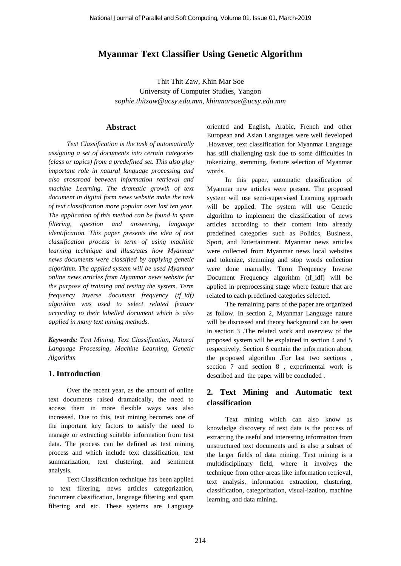# **Myanmar Text Classifier Using Genetic Algorithm**

Thit Thit Zaw, Khin Mar Soe University of Computer Studies, Yangon *sophie.thitzaw@ucsy.edu.mm, [khinmarsoe@ucsy.edu.mm](mailto:khinmarsoe@ucsy.edu.mm)*

#### **Abstract**

*Text Classification is the task of automatically assigning a set of documents into certain categories (class or topics) from a predefined set. This also play important role in natural language processing and also crossroad between information retrieval and machine Learning. The dramatic growth of text document in digital form news website make the task of text classification more popular over last ten year. The application of this method can be found in spam filtering, question and answering, language identification. This paper presents the idea of text classification process in term of using machine learning technique and illustrates how Myanmar news documents were classified by applying genetic algorithm. The applied system will be used Myanmar online news articles from Myanmar news website for the purpose of training and testing the system. Term frequency inverse document frequency (tf\_idf) algorithm was used to select related feature according to their labelled document which is also applied in many text mining methods.*

*Keywords: Text Mining, Text Classification, Natural Language Processing, Machine Learning, Genetic Algorithm*

### **1. Introduction**

Over the recent year, as the amount of online text documents raised dramatically, the need to access them in more flexible ways was also increased. Due to this, text mining becomes one of the important key factors to satisfy the need to manage or extracting suitable information from text data. The process can be defined as text mining process and which include text classification, text summarization, text clustering, and sentiment analysis.

Text Classification technique has been applied to text filtering, news articles categorization, document classification, language filtering and spam filtering and etc. These systems are Language

oriented and English, Arabic, French and other European and Asian Languages were well developed .However, text classification for Myanmar Language has still challenging task due to some difficulties in tokenizing, stemming, feature selection of Myanmar words.

In this paper, automatic classification of Myanmar new articles were present. The proposed system will use semi-supervised Learning approach will be applied. The system will use Genetic algorithm to implement the classification of news articles according to their content into already predefined categories such as Politics, Business, Sport, and Entertainment. Myanmar news articles were collected from Myanmar news local websites and tokenize, stemming and stop words collection were done manually. Term Frequency Inverse Document Frequency algorithm (tf\_idf) will be applied in preprocessing stage where feature that are related to each predefined categories selected.

The remaining parts of the paper are organized as follow. In section 2, Myanmar Language nature will be discussed and theory background can be seen in section 3 .The related work and overview of the proposed system will be explained in section 4 and 5 respectively. Section 6 contain the information about the proposed algorithm .For last two sections , section 7 and section 8 , experimental work is described and the paper will be concluded .

## **2. Text Mining and Automatic text classification**

Text mining which can also know as knowledge discovery of text data is the process of extracting the useful and interesting information from unstructured text documents and is also a subset of the larger fields of data mining. Text mining is a multidisciplinary field, where it involves the technique from other areas like information retrieval, text analysis, information extraction, clustering, classification, categorization, visual-ization, machine learning, and data mining.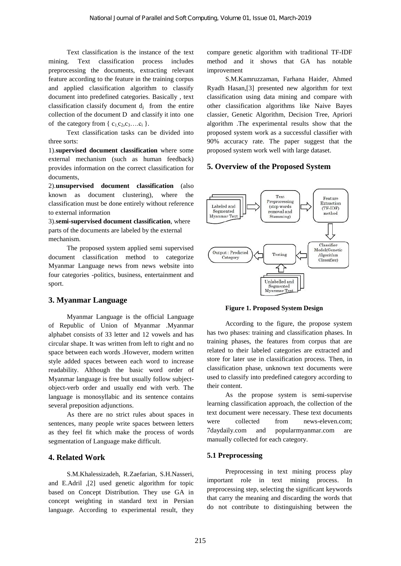Text classification is the instance of the text mining. Text classification process includes preprocessing the documents, extracting relevant feature according to the feature in the training corpus and applied classification algorithm to classify document into predefined categories. Basically , text classification classify document  $d_i$  from the entire collection of the document D and classify it into one of the category from  $\{c_1,c_2,c_3,...c_i\}$ .

Text classification tasks can be divided into three sorts:

1).**supervised document classification** where some external mechanism (such as human feedback) provides information on the correct classification for documents,

2).**unsupervised document classification** (also known as document clustering), where the classification must be done entirely without reference to external information

3).**semi-supervised document classification**, where parts of the documents are labeled by the external mechanism.

The proposed system applied semi supervised document classification method to categorize Myanmar Language news from news website into four categories -politics, business, entertainment and sport.

### **3. Myanmar Language**

Myanmar Language is the official Language of Republic of Union of Myanmar .Myanmar alphabet consists of 33 letter and 12 vowels and has circular shape. It was written from left to right and no space between each words .However, modern written style added spaces between each word to increase readability. Although the basic word order of Myanmar language is free but usually follow subjectobject-verb order and usually end with verb. The language is monosyllabic and its sentence contains several preposition adjunctions.

As there are no strict rules about spaces in sentences, many people write spaces between letters as they feel fit which make the process of words segmentation of Language make difficult.

### **4. Related Work**

S.M.Khalessizadeh, R.Zaefarian, S.H.Nasseri, and E.Adril ,[2] used genetic algorithm for topic based on Concept Distribution. They use GA in concept weighting in standard text in Persian language. According to experimental result, they compare genetic algorithm with traditional TF-IDF method and it shows that GA has notable improvement

S.M.Kamruzzaman, Farhana Haider, Ahmed Ryadh Hasan,[3] presented new algorithm for text classification using data mining and compare with other classification algorithms like Naive Bayes classier, Genetic Algorithm, Decision Tree, Apriori algorithm .The experimental results show that the proposed system work as a successful classifier with 90% accuracy rate. The paper suggest that the proposed system work well with large dataset.

### **5. Overview of the Proposed System**



**Figure 1. Proposed System Design**

According to the figure, the propose system has two phases: training and classification phases. In training phases, the features from corpus that are related to their labeled categories are extracted and store for later use in classification process. Then, in classification phase, unknown text documents were used to classify into predefined category according to their content.

As the propose system is semi-supervise learning classification approach, the collection of the text document were necessary. These text documents were collected from news-eleven.com: 7daydaily.com and popularmyanmar.com manually collected for each category.

### **5.1 Preprocessing**

Preprocessing in text mining process play important role in text mining process. In preprocessing step, selecting the significant keywords that carry the meaning and discarding the words that do not contribute to distinguishing between the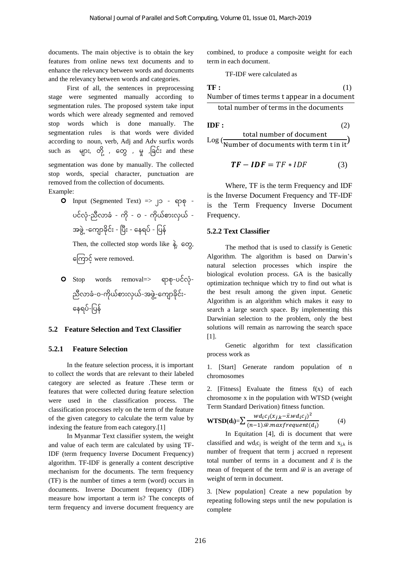documents. The main objective is to obtain the key features from online news text documents and to enhance the relevancy between words and documents and the relevancy between words and categories.

First of all, the sentences in preprocessing stage were segmented manually according to segmentation rules. The proposed system take input words which were already segmented and removed stop words which is done manually. The segmentation rules is that words were divided according to noun, verb, Adj and Adv surfix words such as များ, တို့ , တွေ , မှု ,ခြင်း and these segmentation was done by manually. The collected stop words, special character, punctuation are removed from the collection of documents. Example:

Op Input (Segmented Text) => J3 - φρ φ - υές, χ
$$
\frac{1}{2}
$$
 χσ $\frac{1}{2}$  χσ $\frac{1}{2}$  - ό $\frac{1}{2}$  - ω $\frac{1}{2}$  - ω $\frac{1}{2}$  - ω $\frac{1}{2}$  - ω $\frac{1}{2}$  - ω $\frac{1}{2}$  - ρ $\frac{1}{2}$  - ϕ $\frac{1}{2}$  (β $\frac{1}{2}$  - Ω $\frac{1}{2}$  - ρ $\frac{1}{2}$  - χ $\frac{1}{2}$  - ω $\frac{1}{2}$  - χ $\frac{1}{2}$  - χ $\frac{1}{2}$  - χ $\frac{1}{2}$  - χ $\frac{1}{2}$  - χ $\frac{1}{2}$  - χ $\frac{1}{2}$  - χ $\frac{1}{2}$  - χ $\frac{1}{2}$  - χ $\frac{1}{2}$  - χ $\frac{1}{2}$  - χ $\frac{1}{2}$  - χ $\frac{1}{2}$  - χ $\frac{1}{2}$  - χ $\frac{1}{2}$  - χ $\frac{1}{2}$  - χ $\frac{1}{2}$  - χ $\frac{1}{2}$  - χ $\frac{1}{2}$  - ρ $\frac{1}{2}$  - ρ $\frac{1}{2}$  - χ $\frac{1}{2}$  - χ $\frac{1}{2}$  - χ $\frac{1}{2}$ 

 Stop words removal=> ရ စ -ပင လ - ညီလ ြ -ဝ-က ယ စ ျားလှယ -အဖွေ ွဲ့-တက ြ င ျား- တေရပ -ခပေ

#### **5.2 Feature Selection and Text Classifier**

#### **5.2.1 Feature Selection**

In the feature selection process, it is important to collect the words that are relevant to their labeled category are selected as feature .These term or features that were collected during feature selection were used in the classification process. The classification processes rely on the term of the feature of the given category to calculate the term value by indexing the feature from each category.[1]

In Myanmar Text classifier system, the weight and value of each term are calculated by using TF-IDF (term frequency Inverse Document Frequency) algorithm. TF-IDF is generally a content descriptive mechanism for the documents. The term frequency (TF) is the number of times a term (word) occurs in documents. Inverse Document frequency (IDF) measure how important a term is? The concepts of term frequency and inverse document frequency are

combined, to produce a composite weight for each term in each document.

TF-IDF were calculated as

**TF :** 
$$
(1)
$$
 Number of times terms *t* appear in a document

total number of terms in the documents

**IDF :** (2)  
total number of document  
Log (
$$
\frac{total\ number\ of\ documents\ with\ term\ t\ in\ it}
$$
)

$$
TF - IDF = TF * IDF \tag{3}
$$

Where, TF is the term Frequency and IDF is the Inverse Document Frequency and TF-IDF is the Term Frequency Inverse Document Frequency.

#### **5.2.2 Text Classifier**

The method that is used to classify is Genetic Algorithm. The algorithm is based on Darwin's natural selection processes which inspire the biological evolution process. GA is the basically optimization technique which try to find out what is the best result among the given input. Genetic Algorithm is an algorithm which makes it easy to search a large search space. By implementing this Darwinian selection to the problem, only the best solutions will remain as narrowing the search space [1].

Genetic algorithm for text classification process work as

1. [Start] Generate random population of n chromosomes

2. [Fitness] Evaluate the fitness f(x) of each chromosome x in the population with WTSD (weight Term Standard Derivation) fitness function.

$$
\mathbf{WTSD}(\mathbf{d}_{i}) = \sum \frac{wd_{i}c_{j}(x_{j,k} - \bar{x}.wd_{i}c_{j})^{2}}{(n-1).\bar{w}.maxfrequent(d_{i})}
$$
(4)

In Equitation [4], di is document that were classified and wd<sub>i</sub>c<sub>i</sub> is weight of the term and  $x_{i,k}$  is number of frequent that term j accrued n represent total number of terms in a document and  $\bar{x}$  is the mean of frequent of the term and  $\overline{w}$  is an average of weight of term in document.

3. [New population] Create a new population by repeating following steps until the new population is complete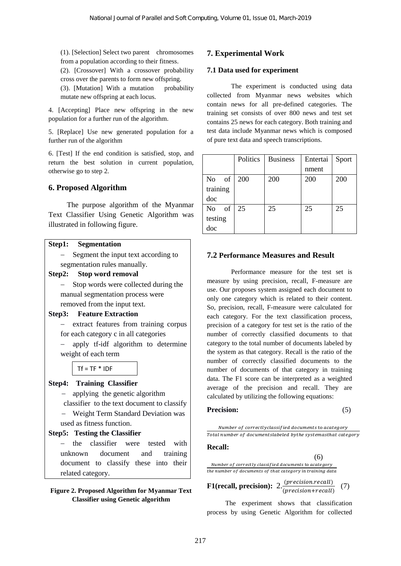(1). [Selection] Select two parent chromosomes from a population according to their fitness.

(2). [Crossover] With a crossover probability cross over the parents to form new offspring.

(3). [Mutation] With a mutation probability mutate new offspring at each locus.

4. [Accepting] Place new offspring in the new population for a further run of the algorithm.

5. [Replace] Use new generated population for a further run of the algorithm

6. [Test] If the end condition is satisfied, stop, and return the best solution in current population, otherwise go to step 2.

### **6. Proposed Algorithm**

The purpose algorithm of the Myanmar Text Classifier Using Genetic Algorithm was illustrated in following figure.

#### **Step1: Segmentation**

- − Segment the input text according to segmentation rules manually.
- **Step2: Stop word removal**

− Stop words were collected during the manual segmentation process were removed from the input text.

### **Step3: Feature Extraction**

− extract features from training corpus for each category c in all categories

− apply tf-idf algorithm to determine weight of each term

### $Tf = TF * IDF$

### **Step4: Training Classifier**

− applying the genetic algorithm classifier to the text document to classify − Weight Term Standard Deviation was

used as fitness function.

## **Step5: Testing the Classifier**

− the classifier were tested with unknown document and training document to classify these into their related category.

### **Figure 2. Proposed Algorithm for Myanmar Text Classifier using Genetic algorithm**

## **7. Experimental Work**

#### **7.1 Data used for experiment**

The experiment is conducted using data collected from Myanmar news websites which contain news for all pre-defined categories. The training set consists of over 800 news and test set contains 25 news for each category. Both training and test data include Myanmar news which is composed of pure text data and speech transcriptions.

|                      | Politics | <b>Business</b> | Entertai | Sport |
|----------------------|----------|-----------------|----------|-------|
|                      |          |                 | nment    |       |
| of<br>N <sub>0</sub> | 200      | 200             | 200      | 200   |
| training             |          |                 |          |       |
| doc                  |          |                 |          |       |
| of<br>N <sub>o</sub> | 25       | 25              | 25       | 25    |
| testing              |          |                 |          |       |
| doc                  |          |                 |          |       |

### **7.2 Performance Measures and Result**

Performance measure for the test set is measure by using precision, recall, F-measure are use. Our proposes system assigned each document to only one category which is related to their content. So, precision, recall, F-measure were calculated for each category. For the text classification process, precision of a category for test set is the ratio of the number of correctly classified documents to that category to the total number of documents labeled by the system as that category. Recall is the ratio of the number of correctly classified documents to the number of documents of that category in training data. The F1 score can be interpreted as a weighted average of the precision and recall. They are calculated by utilizing the following equations:

#### Precision: (5)

Number of correctlyclassified documents to acategory Total number of documentslabeled bythe systemasthat category

## **Recall:**

(6) Number of correctly classified documents to acategory the number of documents of that category in training data

#### **F1(recall, precision):** 2. *(precision.recall)* (*precision+recall*)  $\cdot$  (7)

The experiment shows that classification process by using Genetic Algorithm for collected